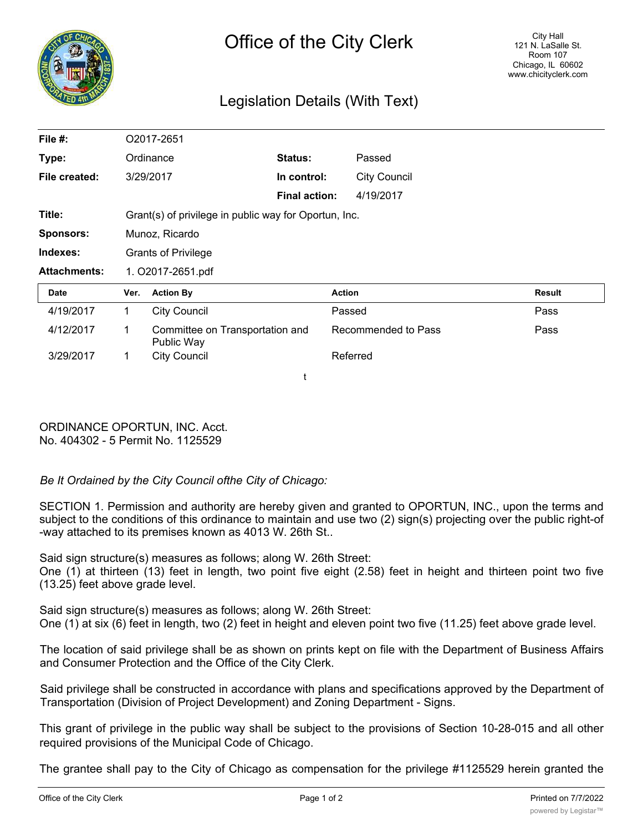

## Legislation Details (With Text)

| File #:             |                                                       | O2017-2651                                    |                      |                     |               |
|---------------------|-------------------------------------------------------|-----------------------------------------------|----------------------|---------------------|---------------|
| Type:               | Ordinance                                             |                                               | Status:              | Passed              |               |
| File created:       |                                                       | 3/29/2017                                     | In control:          | <b>City Council</b> |               |
|                     |                                                       |                                               | <b>Final action:</b> | 4/19/2017           |               |
| Title:              | Grant(s) of privilege in public way for Oportun, Inc. |                                               |                      |                     |               |
| <b>Sponsors:</b>    | Munoz, Ricardo                                        |                                               |                      |                     |               |
| Indexes:            | <b>Grants of Privilege</b>                            |                                               |                      |                     |               |
| <b>Attachments:</b> | 1. O2017-2651.pdf                                     |                                               |                      |                     |               |
| Date                | Ver.                                                  | <b>Action By</b>                              |                      | <b>Action</b>       | <b>Result</b> |
| 4/19/2017           | $\mathbf{1}$                                          | <b>City Council</b>                           |                      | Passed              | Pass          |
| 4/12/2017           | 1.                                                    | Committee on Transportation and<br>Public Way |                      | Recommended to Pass | Pass          |
| 3/29/2017           | $\mathbf 1$                                           | <b>City Council</b>                           |                      | Referred            |               |
|                     |                                                       |                                               |                      |                     |               |

ORDINANCE OPORTUN, INC. Acct. No. 404302 - 5 Permit No. 1125529

## *Be It Ordained by the City Council ofthe City of Chicago:*

SECTION 1. Permission and authority are hereby given and granted to OPORTUN, INC., upon the terms and subject to the conditions of this ordinance to maintain and use two (2) sign(s) projecting over the public right-of -way attached to its premises known as 4013 W. 26th St..

Said sign structure(s) measures as follows; along W. 26th Street: One (1) at thirteen (13) feet in length, two point five eight (2.58) feet in height and thirteen point two five (13.25) feet above grade level.

Said sign structure(s) measures as follows; along W. 26th Street: One (1) at six (6) feet in length, two (2) feet in height and eleven point two five (11.25) feet above grade level.

The location of said privilege shall be as shown on prints kept on file with the Department of Business Affairs and Consumer Protection and the Office of the City Clerk.

Said privilege shall be constructed in accordance with plans and specifications approved by the Department of Transportation (Division of Project Development) and Zoning Department - Signs.

This grant of privilege in the public way shall be subject to the provisions of Section 10-28-015 and all other required provisions of the Municipal Code of Chicago.

The grantee shall pay to the City of Chicago as compensation for the privilege #1125529 herein granted the